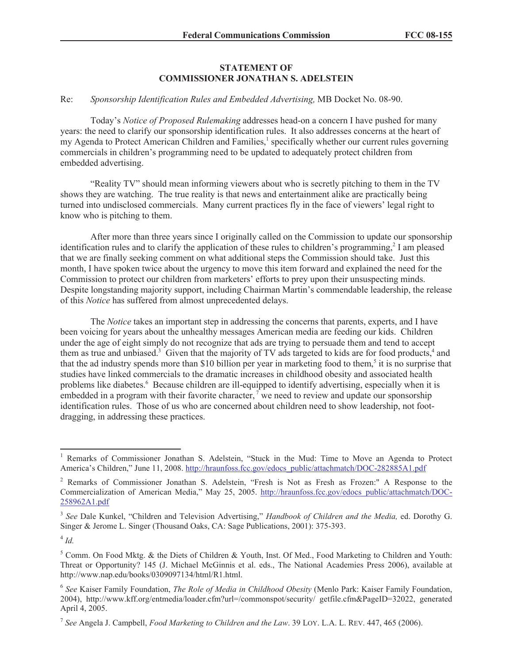## **STATEMENT OF COMMISSIONER JONATHAN S. ADELSTEIN**

## Re: *Sponsorship Identification Rules and Embedded Advertising,* MB Docket No. 08-90.

Today's *Notice of Proposed Rulemaking* addresses head-on a concern I have pushed for many years: the need to clarify our sponsorship identification rules. It also addresses concerns at the heart of my Agenda to Protect American Children and Families,<sup>1</sup> specifically whether our current rules governing commercials in children's programming need to be updated to adequately protect children from embedded advertising.

"Reality TV" should mean informing viewers about who is secretly pitching to them in the TV shows they are watching. The true reality is that news and entertainment alike are practically being turned into undisclosed commercials. Many current practices fly in the face of viewers' legal right to know who is pitching to them.

After more than three years since I originally called on the Commission to update our sponsorship identification rules and to clarify the application of these rules to children's programming,<sup>2</sup> I am pleased that we are finally seeking comment on what additional steps the Commission should take. Just this month, I have spoken twice about the urgency to move this item forward and explained the need for the Commission to protect our children from marketers' efforts to prey upon their unsuspecting minds. Despite longstanding majority support, including Chairman Martin's commendable leadership, the release of this *Notice* has suffered from almost unprecedented delays.

The *Notice* takes an important step in addressing the concerns that parents, experts, and I have been voicing for years about the unhealthy messages American media are feeding our kids. Children under the age of eight simply do not recognize that ads are trying to persuade them and tend to accept them as true and unbiased.<sup>3</sup> Given that the majority of TV ads targeted to kids are for food products, $4$  and that the ad industry spends more than \$10 billion per year in marketing food to them,<sup>5</sup> it is no surprise that studies have linked commercials to the dramatic increases in childhood obesity and associated health problems like diabetes.<sup>6</sup> Because children are ill-equipped to identify advertising, especially when it is embedded in a program with their favorite character,  $\overline{a}$  we need to review and update our sponsorship identification rules. Those of us who are concerned about children need to show leadership, not footdragging, in addressing these practices.

4 *Id.*

<sup>1</sup> Remarks of Commissioner Jonathan S. Adelstein, "Stuck in the Mud: Time to Move an Agenda to Protect America's Children," June 11, 2008. http://hraunfoss.fcc.gov/edocs\_public/attachmatch/DOC-282885A1.pdf

<sup>2</sup> Remarks of Commissioner Jonathan S. Adelstein, "Fresh is Not as Fresh as Frozen:" A Response to the Commercialization of American Media," May 25, 2005. http://hraunfoss.fcc.gov/edocs\_public/attachmatch/DOC-258962A1.pdf

<sup>3</sup> *See* Dale Kunkel, "Children and Television Advertising," *Handbook of Children and the Media,* ed. Dorothy G. Singer & Jerome L. Singer (Thousand Oaks, CA: Sage Publications, 2001): 375-393.

<sup>5</sup> Comm. On Food Mktg. & the Diets of Children & Youth, Inst. Of Med., Food Marketing to Children and Youth: Threat or Opportunity? 145 (J. Michael McGinnis et al. eds., The National Academies Press 2006), available at http://www.nap.edu/books/0309097134/html/R1.html.

<sup>6</sup> *See* Kaiser Family Foundation, *The Role of Media in Childhood Obesity* (Menlo Park: Kaiser Family Foundation, 2004), http://www.kff.org/entmedia/loader.cfm?url=/commonspot/security/ getfile.cfm&PageID=32022, generated April 4, 2005.

<sup>7</sup> *See* Angela J. Campbell, *Food Marketing to Children and the Law*. 39 LOY. L.A. L. REV. 447, 465 (2006).